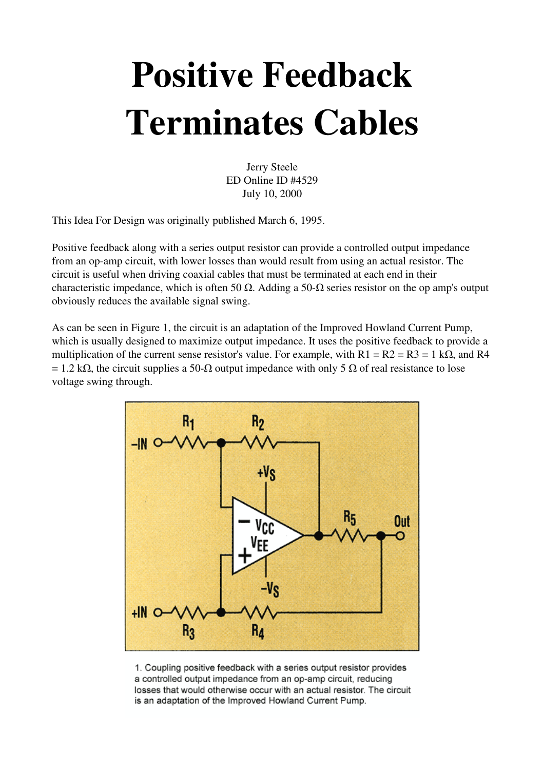## Positive Feedback Terminates Cables

Jerry Steele ED Online ID #4529 July 10, 2000

This Idea For Design was originally published March 6, 1995.

Positive feedback along with a series output resistor can provide a controlled output impedance from an op-amp circuit, with lower losses than would result from using an actual resistor. The circuit is useful when driving coaxial cables that must be terminated at each end in their characteristic impedance, which is often 50  $\Omega$ . Adding a 50- $\Omega$  series resistor on the op amp's output obviously reduces the available signal swing.

As can be seen in Figure 1, the circuit is an adaptation of the Improved Howland Current Pump, which is usually designed to maximize output impedance. It uses the positive feedback to provide a multiplication of the current sense resistor's value. For example, with  $R1 = R2 = R3 = 1$  k $\Omega$ , and R4  $= 1.2$  kΩ, the circuit supplies a 50-Ω output impedance with only 5 Ω of real resistance to lose voltage swing through.



1. Coupling positive feedback with a series output resistor provides a controlled output impedance from an op-amp circuit, reducing losses that would otherwise occur with an actual resistor. The circuit is an adaptation of the Improved Howland Current Pump.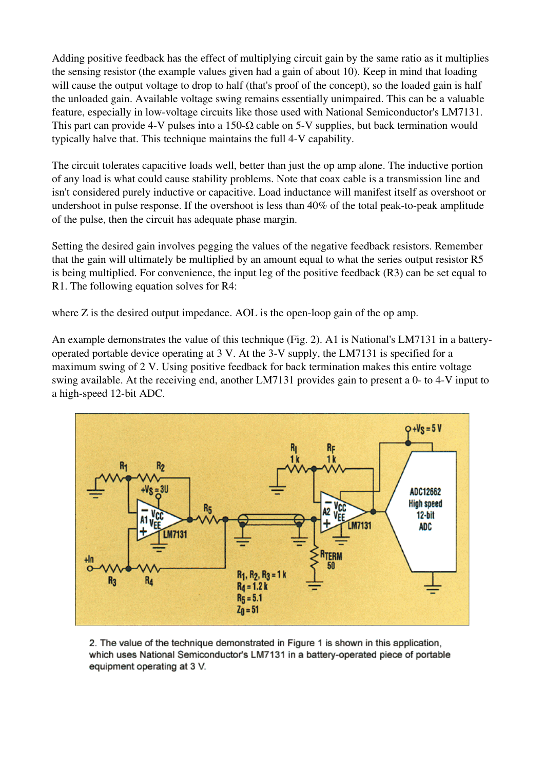Adding positive feedback has the effect of multiplying circuit gain by the same ratio as it multiplies the sensing resistor (the example values given had a gain of about 10). Keep in mind that loading will cause the output voltage to drop to half (that's proof of the concept), so the loaded gain is half the unloaded gain. Available voltage swing remains essentially unimpaired. This can be a valuable feature, especially in low-voltage circuits like those used with National Semiconductor's LM7131. This part can provide 4-V pulses into a 150- $\Omega$  cable on 5-V supplies, but back termination would typically halve that. This technique maintains the full 4V capability.

The circuit tolerates capacitive loads well, better than just the op amp alone. The inductive portion of any load is what could cause stability problems. Note that coax cable is a transmission line and isn't considered purely inductive or capacitive. Load inductance will manifest itself as overshoot or undershoot in pulse response. If the overshoot is less than  $40\%$  of the total peak-to-peak amplitude of the pulse, then the circuit has adequate phase margin.

Setting the desired gain involves pegging the values of the negative feedback resistors. Remember that the gain will ultimately be multiplied by an amount equal to what the series output resistor R5 is being multiplied. For convenience, the input leg of the positive feedback (R3) can be set equal to R1. The following equation solves for R4:

where  $Z$  is the desired output impedance. AOL is the open-loop gain of the op amp.

An example demonstrates the value of this technique (Fig. 2). A1 is National's LM7131 in a batteryoperated portable device operating at 3 V. At the 3-V supply, the LM7131 is specified for a maximum swing of 2 V. Using positive feedback for back termination makes this entire voltage swing available. At the receiving end, another LM7131 provides gain to present a 0- to 4-V input to a high-speed 12-bit ADC.



2. The value of the technique demonstrated in Figure 1 is shown in this application, which uses National Semiconductor's LM7131 in a battery-operated piece of portable equipment operating at 3 V.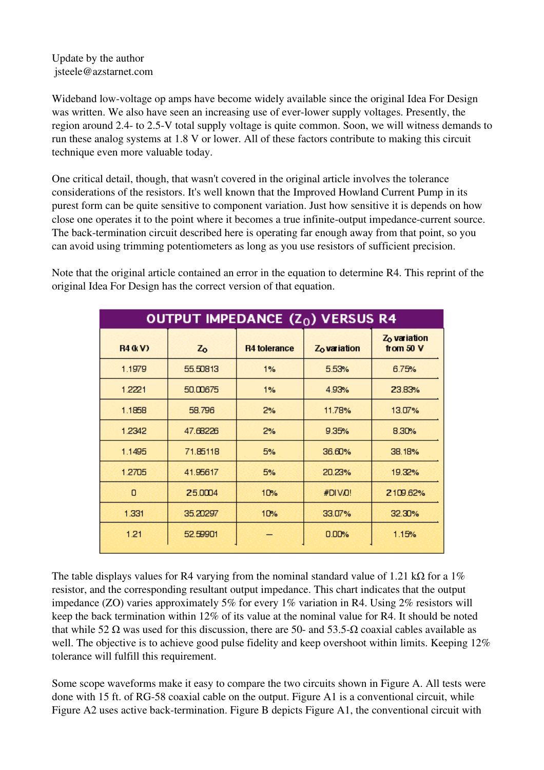## Update by the author jsteele@azstarnet.com

Wideband low-voltage op amps have become widely available since the original Idea For Design was written. We also have seen an increasing use of ever-lower supply voltages. Presently, the region around 2.4- to 2.5-V total supply voltage is quite common. Soon, we will witness demands to run these analog systems at 1.8 V or lower. All of these factors contribute to making this circuit technique even more valuable today.

One critical detail, though, that wasn't covered in the original article involves the tolerance considerations of the resistors. It's well known that the Improved Howland Current Pump in its purest form can be quite sensitive to component variation. Just how sensitive it is depends on how close one operates it to the point where it becomes a true infinite-output impedance-current source. The back-termination circuit described here is operating far enough away from that point, so you can avoid using trimming potentiometers as long as you use resistors of sufficient precision.

Note that the original article contained an error in the equation to determine R4. This reprint of the original Idea For Design has the correct version of that equation.

| OUTPUT IMPEDANCE $(Z_0)$ VERSUS R4 |          |                     |                          |                                       |
|------------------------------------|----------|---------------------|--------------------------|---------------------------------------|
| <b>R4 (kV)</b>                     | $Z_0$    | <b>R4</b> tolerance | Z <sub>o</sub> variation | Z <sub>o</sub> variation<br>from 50 V |
| 1.1979                             | 55,50813 | 1%                  | 5.53%                    | 6.75%                                 |
| 1.2221                             | 50,00675 | 1%                  | 4.93%                    | 23.83%                                |
| 1.1858                             | 58.796   | 2%                  | 11.78%                   | 13.07%                                |
| 1.2342                             | 47.68226 | 2%                  | 9.35%                    | 8.30%                                 |
| 1.1495                             | 71.85118 | 5%                  | 36.60%                   | 38.18%                                |
| 1.2705                             | 41.95617 | 5%                  | 20.23%                   | 19.32%                                |
| 0                                  | 25.0004  | 10%                 | #DIVO!                   | 2109.62%                              |
| 1.331                              | 35,20297 | 10%                 | 33.07%                   | 32.30%                                |
| 1.21                               | 52,59901 |                     | 0.00%                    | 1.15%                                 |

The table displays values for R4 varying from the nominal standard value of 1.21 kΩ for a 1% resistor, and the corresponding resultant output impedance. This chart indicates that the output impedance (ZO) varies approximately 5% for every 1% variation in R4. Using 2% resistors will keep the back termination within 12% of its value at the nominal value for R4. It should be noted that while 52 Ω was used for this discussion, there are 50- and 53.5-Ω coaxial cables available as well. The objective is to achieve good pulse fidelity and keep overshoot within limits. Keeping 12% tolerance will fulfill this requirement.

Some scope waveforms make it easy to compare the two circuits shown in Figure A. All tests were done with 15 ft. of RG-58 coaxial cable on the output. Figure A1 is a conventional circuit, while Figure A2 uses active back-termination. Figure B depicts Figure A1, the conventional circuit with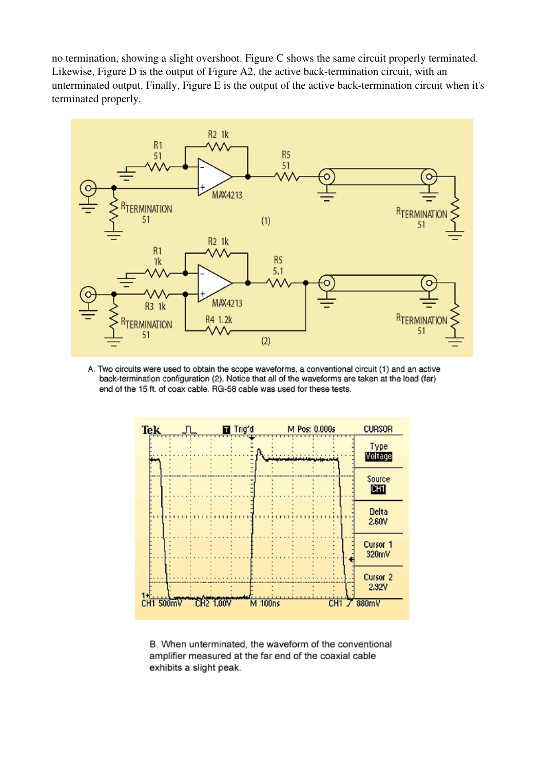no termination, showing a slight overshoot. Figure C shows the same circuit properly terminated. Likewise, Figure  $D$  is the output of Figure A2, the active back-termination circuit, with an unterminated output. Finally, Figure E is the output of the active back-termination circuit when it's terminated properly.



A. Two circuits were used to obtain the scope waveforms, a conventional circuit (1) and an active back-termination configuration (2). Notice that all of the waveforms are taken at the load (far) end of the 15 ft. of coax cable. RG-58 cable was used for these tests.



B. When unterminated, the waveform of the conventional amplifier measured at the far end of the coaxial cable exhibits a slight peak.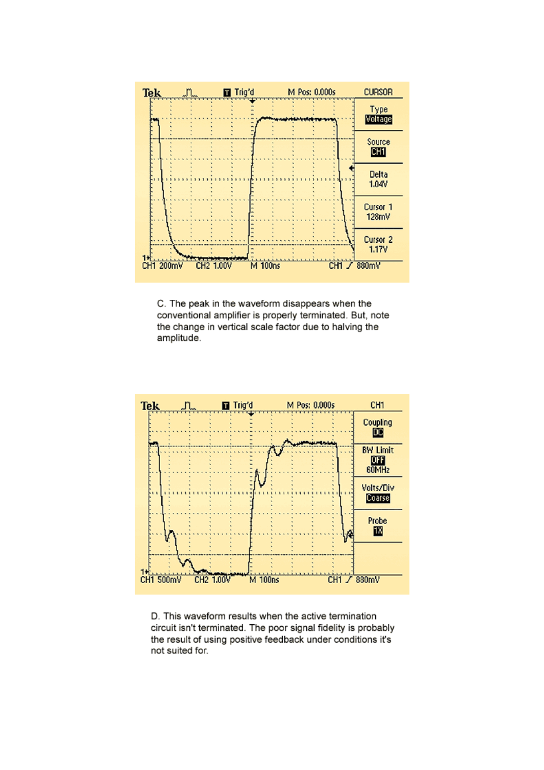

C. The peak in the waveform disappears when the conventional amplifier is properly terminated. But, note the change in vertical scale factor due to halving the amplitude.



D. This waveform results when the active termination circuit isn't terminated. The poor signal fidelity is probably the result of using positive feedback under conditions it's not suited for.